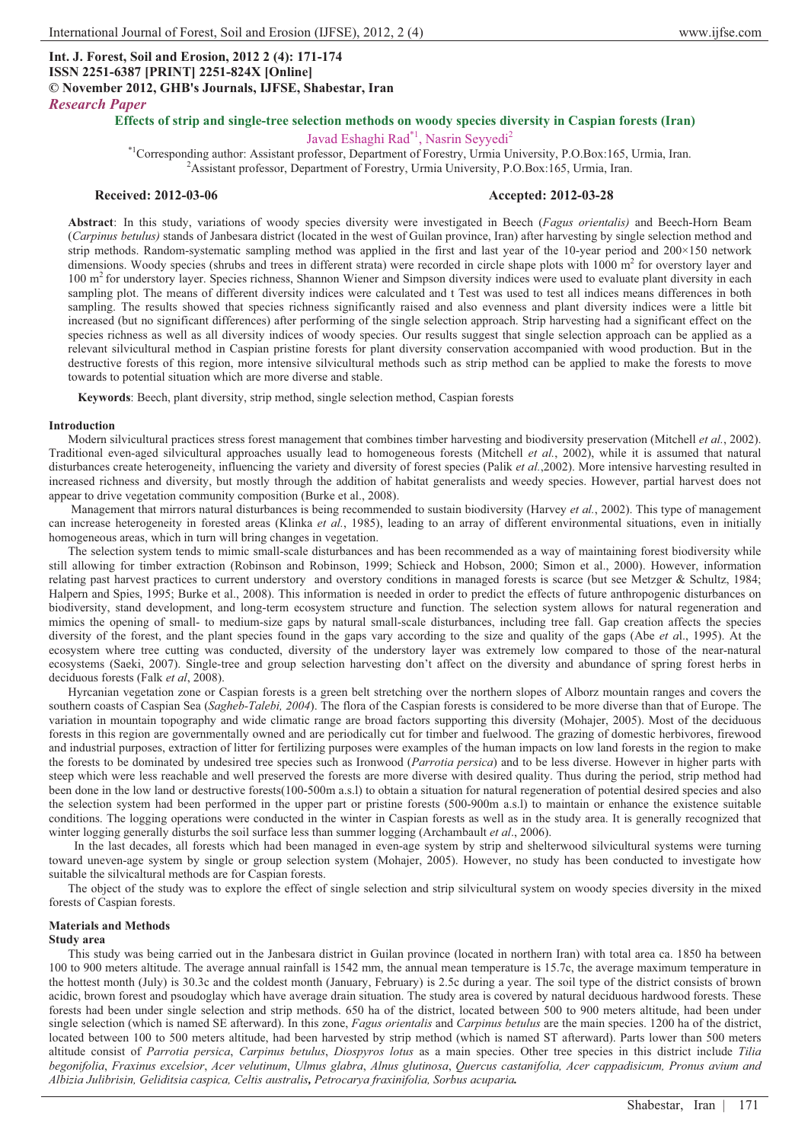# **Int. J. Forest, Soil and Erosion, 2012 2 (4): 171-174 ISSN 2251-6387 [PRINT] 2251-824X [Online] © November 2012, GHB's Journals, IJFSE, Shabestar, Iran** *Research Paper*

```
Javad Eshaghi Rad<sup>*1</sup>, Nasrin Seyyedi<sup>2</sup>
```
\*1Corresponding author: Assistant professor, Department of Forestry, Urmia University, P.O.Box:165, Urmia, Iran. 2 <sup>2</sup> Assistant professor, Department of Forestry, Urmia University, P.O.Box:165, Urmia, Iran.

## **Received: 2012-03-06 Accepted: 2012-03-28**

**Abstract**: In this study, variations of woody species diversity were investigated in Beech (*Fagus orientalis)* and Beech-Horn Beam (*Carpinus betulus)* stands of Janbesara district (located in the west of Guilan province, Iran) after harvesting by single selection method and strip methods. Random-systematic sampling method was applied in the first and last year of the 10-year period and 200×150 network dimensions. Woody species (shrubs and trees in different strata) were recorded in circle shape plots with 1000 m<sup>2</sup> for overstory layer and 100 m<sup>2</sup> for understory layer. Species richness, Shannon Wiener and Simpson diversity indices were used to evaluate plant diversity in each sampling plot. The means of different diversity indices were calculated and t Test was used to test all indices means differences in both sampling. The results showed that species richness significantly raised and also evenness and plant diversity indices were a little bit increased (but no significant differences) after performing of the single selection approach. Strip harvesting had a significant effect on the species richness as well as all diversity indices of woody species. Our results suggest that single selection approach can be applied as a relevant silvicultural method in Caspian pristine forests for plant diversity conservation accompanied with wood production. But in the destructive forests of this region, more intensive silvicultural methods such as strip method can be applied to make the forests to move towards to potential situation which are more diverse and stable.

**Keywords**: Beech, plant diversity, strip method, single selection method, Caspian forests

### **Introduction**

Modern silvicultural practices stress forest management that combines timber harvesting and biodiversity preservation (Mitchell *et al.*, 2002). Traditional even-aged silvicultural approaches usually lead to homogeneous forests (Mitchell *et al.*, 2002), while it is assumed that natural disturbances create heterogeneity, influencing the variety and diversity of forest species (Palik *et al.*,2002). More intensive harvesting resulted in increased richness and diversity, but mostly through the addition of habitat generalists and weedy species. However, partial harvest does not appear to drive vegetation community composition (Burke et al., 2008).

 Management that mirrors natural disturbances is being recommended to sustain biodiversity (Harvey *et al.*, 2002). This type of management can increase heterogeneity in forested areas (Klinka *et al.*, 1985), leading to an array of different environmental situations, even in initially homogeneous areas, which in turn will bring changes in vegetation.

The selection system tends to mimic small-scale disturbances and has been recommended as a way of maintaining forest biodiversity while still allowing for timber extraction (Robinson and Robinson, 1999; Schieck and Hobson, 2000; Simon et al., 2000). However, information relating past harvest practices to current understory and overstory conditions in managed forests is scarce (but see Metzger & Schultz, 1984; Halpern and Spies, 1995; Burke et al., 2008). This information is needed in order to predict the effects of future anthropogenic disturbances on biodiversity, stand development, and long-term ecosystem structure and function. The selection system allows for natural regeneration and mimics the opening of small- to medium-size gaps by natural small-scale disturbances, including tree fall. Gap creation affects the species diversity of the forest, and the plant species found in the gaps vary according to the size and quality of the gaps (Abe *et a*l., 1995). At the ecosystem where tree cutting was conducted, diversity of the understory layer was extremely low compared to those of the near-natural ecosystems (Saeki, 2007). Single-tree and group selection harvesting don't affect on the diversity and abundance of spring forest herbs in deciduous forests (Falk *et al*, 2008).

Hyrcanian vegetation zone or Caspian forests is a green belt stretching over the northern slopes of Alborz mountain ranges and covers the southern coasts of Caspian Sea (*Sagheb-Talebi, 2004*). The flora of the Caspian forests is considered to be more diverse than that of Europe. The variation in mountain topography and wide climatic range are broad factors supporting this diversity (Mohajer, 2005). Most of the deciduous forests in this region are governmentally owned and are periodically cut for timber and fuelwood. The grazing of domestic herbivores, firewood and industrial purposes, extraction of litter for fertilizing purposes were examples of the human impacts on low land forests in the region to make the forests to be dominated by undesired tree species such as Ironwood (*Parrotia persica*) and to be less diverse. However in higher parts with steep which were less reachable and well preserved the forests are more diverse with desired quality. Thus during the period, strip method had been done in the low land or destructive forests(100-500m a.s.l) to obtain a situation for natural regeneration of potential desired species and also the selection system had been performed in the upper part or pristine forests (500-900m a.s.l) to maintain or enhance the existence suitable conditions. The logging operations were conducted in the winter in Caspian forests as well as in the study area. It is generally recognized that winter logging generally disturbs the soil surface less than summer logging (Archambault *et al*., 2006).

 In the last decades, all forests which had been managed in even-age system by strip and shelterwood silvicultural systems were turning toward uneven-age system by single or group selection system (Mohajer, 2005). However, no study has been conducted to investigate how suitable the silvicaltural methods are for Caspian forests.

The object of the study was to explore the effect of single selection and strip silvicultural system on woody species diversity in the mixed forests of Caspian forests.

# **Materials and Methods**

## **Study area**

This study was being carried out in the Janbesara district in Guilan province (located in northern Iran) with total area ca. 1850 ha between 100 to 900 meters altitude. The average annual rainfall is 1542 mm, the annual mean temperature is 15.7c, the average maximum temperature in the hottest month (July) is 30.3c and the coldest month (January, February) is 2.5c during a year. The soil type of the district consists of brown acidic, brown forest and psoudoglay which have average drain situation. The study area is covered by natural deciduous hardwood forests. These forests had been under single selection and strip methods. 650 ha of the district, located between 500 to 900 meters altitude, had been under single selection (which is named SE afterward). In this zone, *Fagus orientalis* and *Carpinus betulus* are the main species. 1200 ha of the district, located between 100 to 500 meters altitude, had been harvested by strip method (which is named ST afterward). Parts lower than 500 meters altitude consist of *Parrotia persica*, *Carpinus betulus*, *Diospyros lotus* as a main species. Other tree species in this district include *Tilia begonifolia*, *Fraxinus excelsior*, *Acer velutinum*, *Ulmus glabra*, *Alnus glutinosa*, *Quercus castanifolia, Acer cappadisicum, Pronus avium and Albizia Julibrisin, Geliditsia caspica, Celtis australis, Petrocarya fraxinifolia, Sorbus acuparia.*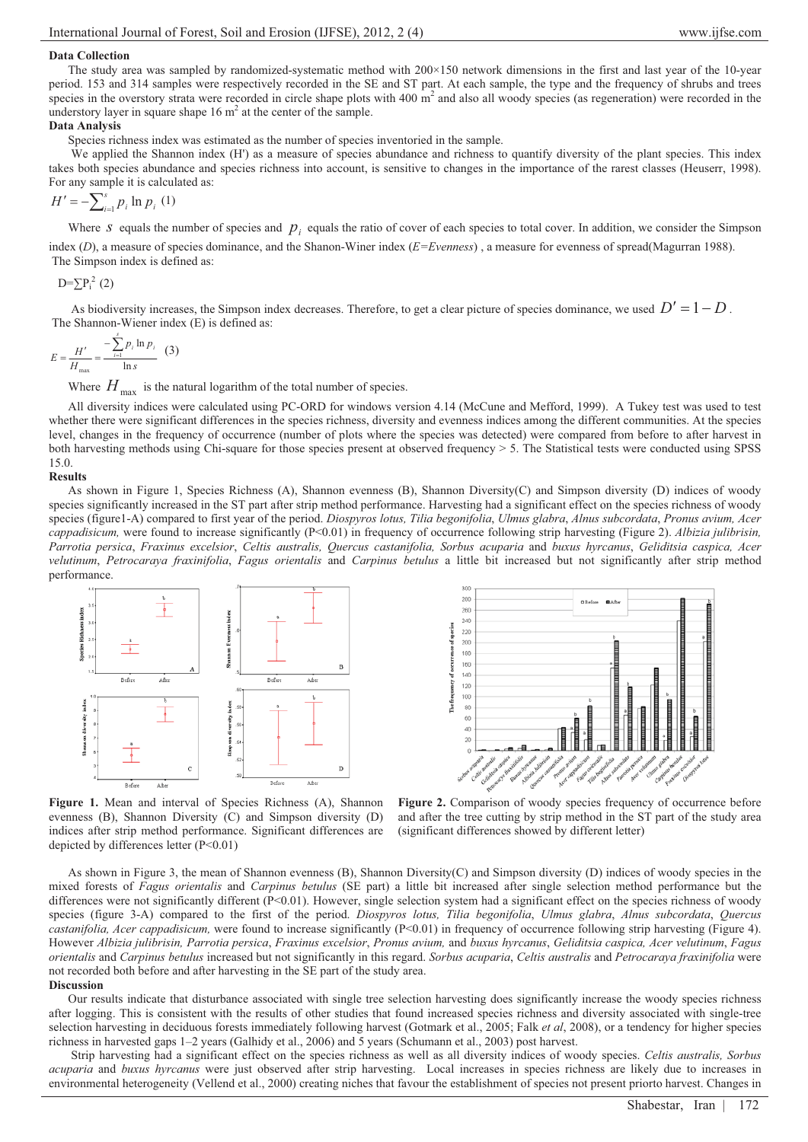## **Data Collection**

The study area was sampled by randomized-systematic method with 200×150 network dimensions in the first and last year of the 10-year period. 153 and 314 samples were respectively recorded in the SE and ST part. At each sample, the type and the frequency of shrubs and trees species in the overstory strata were recorded in circle shape plots with 400  $\mathrm{m}^2$  and also all woody species (as regeneration) were recorded in the understory layer in square shape  $16 \text{ m}^2$  at the center of the sample.

## **Data Analysis**

Species richness index was estimated as the number of species inventoried in the sample.

We applied the Shannon index (H') as a measure of species abundance and richness to quantify diversity of the plant species. This index takes both species abundance and species richness into account, is sensitive to changes in the importance of the rarest classes (Heuserr, 1998). For any sample it is calculated as:

$$
H' = -\sum_{i=1}^{s} p_i \ln p_i \ (1)
$$

Where  $S$  equals the number of species and  $p_i$  equals the ratio of cover of each species to total cover. In addition, we consider the Simpson

index (*D*), a measure of species dominance, and the Shanon-Winer index (*E=Evenness*) , a measure for evenness of spread(Magurran 1988). The Simpson index is defined as:

 $D=\sum P_i^2(2)$ 

As biodiversity increases, the Simpson index decreases. Therefore, to get a clear picture of species dominance, we used  $D' = 1 - D$ . The Shannon-Wiener index (E) is defined as:

$$
E = \frac{H'}{H_{\text{max}}} = \frac{-\sum_{i=1}^{s} p_i \ln p_i}{\ln s} \quad (3)
$$

Where  $H_{\text{max}}$  is the natural logarithm of the total number of species.

All diversity indices were calculated using PC-ORD for windows version 4.14 (McCune and Mefford, 1999). A Tukey test was used to test whether there were significant differences in the species richness, diversity and evenness indices among the different communities. At the species level, changes in the frequency of occurrence (number of plots where the species was detected) were compared from before to after harvest in both harvesting methods using Chi-square for those species present at observed frequency > 5. The Statistical tests were conducted using SPSS 15.0.

## **Results**

As shown in Figure 1, Species Richness (A), Shannon evenness (B), Shannon Diversity(C) and Simpson diversity (D) indices of woody species significantly increased in the ST part after strip method performance. Harvesting had a significant effect on the species richness of woody species (figure1-A) compared to first year of the period. *Diospyros lotus, Tilia begonifolia*, *Ulmus glabra*, *Alnus subcordata*, *Pronus avium, Acer cappadisicum,* were found to increase significantly (P<0.01) in frequency of occurrence following strip harvesting (Figure 2). *Albizia julibrisin, Parrotia persica*, *Fraxinus excelsior*, *Celtis australis, Quercus castanifolia, Sorbus acuparia* and *buxus hyrcanus*, *Geliditsia caspica, Acer velutinum*, *Petrocaraya fraxinifolia*, *Fagus orientalis* and *Carpinus betulus* a little bit increased but not significantly after strip method performance.





Figure 1. Mean and interval of Species Richness (A), Shannon evenness (B), Shannon Diversity (C) and Simpson diversity (D) indices after strip method performance. Significant differences are depicted by differences letter (P<0.01)

**Figure 2.** Comparison of woody species frequency of occurrence before and after the tree cutting by strip method in the ST part of the study area (significant differences showed by different letter)

As shown in Figure 3, the mean of Shannon evenness (B), Shannon Diversity (C) and Simpson diversity (D) indices of woody species in the mixed forests of *Fagus orientalis* and *Carpinus betulus* (SE part) a little bit increased after single selection method performance but the differences were not significantly different (P<0.01). However, single selection system had a significant effect on the species richness of woody species (figure 3-A) compared to the first of the period. *Diospyros lotus, Tilia begonifolia*, *Ulmus glabra*, *Alnus subcordata*, *Quercus castanifolia, Acer cappadisicum*, were found to increase significantly (P<0.01) in frequency of occurrence following strip harvesting (Figure 4). However *Albizia julibrisin, Parrotia persica*, *Fraxinus excelsior*, *Pronus avium,* and *buxus hyrcanus*, *Geliditsia caspica, Acer velutinum*, *Fagus orientalis* and *Carpinus betulus* increased but not significantly in this regard. *Sorbus acuparia*, *Celtis australis* and *Petrocaraya fraxinifolia* were not recorded both before and after harvesting in the SE part of the study area. **Discussion** 

Our results indicate that disturbance associated with single tree selection harvesting does significantly increase the woody species richness after logging. This is consistent with the results of other studies that found increased species richness and diversity associated with single-tree selection harvesting in deciduous forests immediately following harvest (Gotmark et al., 2005; Falk *et al*, 2008), or a tendency for higher species richness in harvested gaps 1–2 years (Galhidy et al., 2006) and 5 years (Schumann et al., 2003) post harvest.

 Strip harvesting had a significant effect on the species richness as well as all diversity indices of woody species. *Celtis australis, Sorbus acuparia* and *buxus hyrcanus* were just observed after strip harvesting. Local increases in species richness are likely due to increases in environmental heterogeneity (Vellend et al., 2000) creating niches that favour the establishment of species not present priorto harvest. Changes in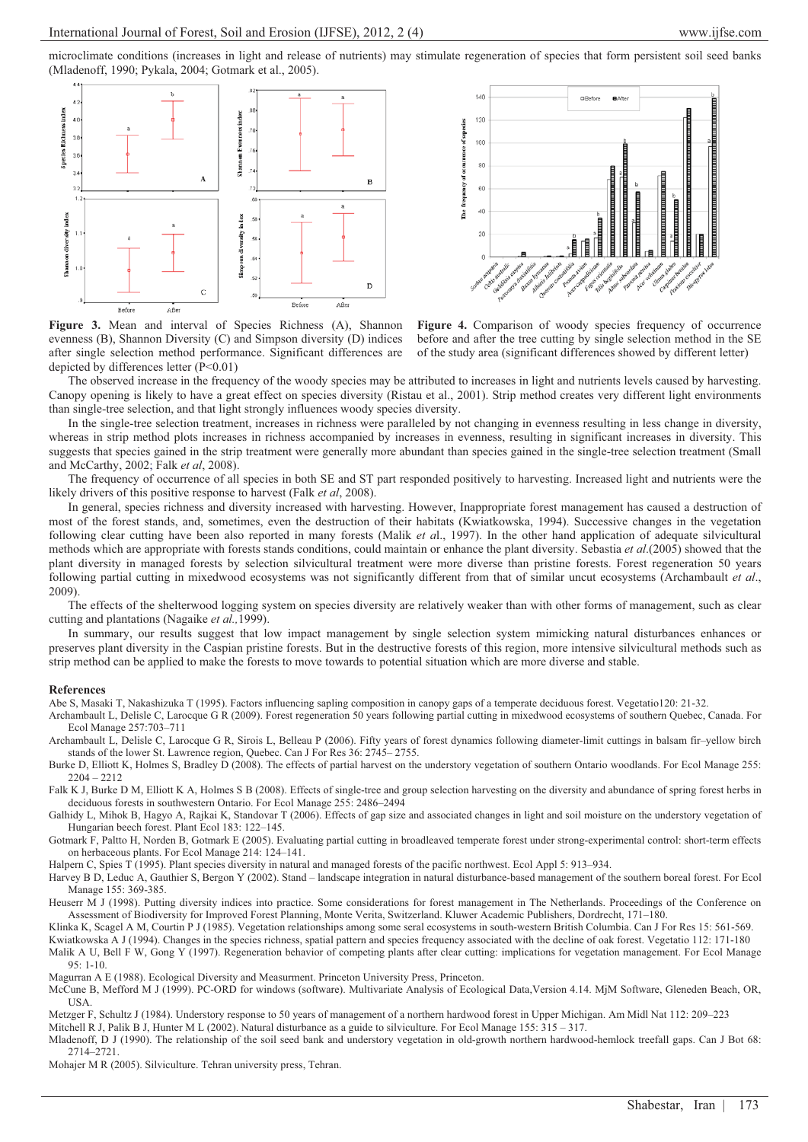microclimate conditions (increases in light and release of nutrients) may stimulate regeneration of species that form persistent soil seed banks (Mladenoff, 1990; Pykala, 2004; Gotmark et al., 2005).





**Figure 3.** Mean and interval of Species Richness (A), Shannon evenness (B), Shannon Diversity (C) and Simpson diversity (D) indices after single selection method performance. Significant differences are depicted by differences letter (P<0.01)

**Figure 4.** Comparison of woody species frequency of occurrence before and after the tree cutting by single selection method in the SE of the study area (significant differences showed by different letter)

The observed increase in the frequency of the woody species may be attributed to increases in light and nutrients levels caused by harvesting. Canopy opening is likely to have a great effect on species diversity (Ristau et al., 2001). Strip method creates very different light environments than single-tree selection, and that light strongly influences woody species diversity.

In the single-tree selection treatment, increases in richness were paralleled by not changing in evenness resulting in less change in diversity, whereas in strip method plots increases in richness accompanied by increases in evenness, resulting in significant increases in diversity. This suggests that species gained in the strip treatment were generally more abundant than species gained in the single-tree selection treatment (Small and McCarthy, 2002; Falk *et al*, 2008).

The frequency of occurrence of all species in both SE and ST part responded positively to harvesting. Increased light and nutrients were the likely drivers of this positive response to harvest (Falk *et al*, 2008).

In general, species richness and diversity increased with harvesting. However, Inappropriate forest management has caused a destruction of most of the forest stands, and, sometimes, even the destruction of their habitats (Kwiatkowska, 1994). Successive changes in the vegetation following clear cutting have been also reported in many forests (Malik *et a*l., 1997). In the other hand application of adequate silvicultural methods which are appropriate with forests stands conditions, could maintain or enhance the plant diversity. Sebastia *et al*.(2005) showed that the plant diversity in managed forests by selection silvicultural treatment were more diverse than pristine forests. Forest regeneration 50 years following partial cutting in mixedwood ecosystems was not significantly different from that of similar uncut ecosystems (Archambault *et al*., 2009).

The effects of the shelterwood logging system on species diversity are relatively weaker than with other forms of management, such as clear cutting and plantations (Nagaike *et al.,*1999).

In summary, our results suggest that low impact management by single selection system mimicking natural disturbances enhances or preserves plant diversity in the Caspian pristine forests. But in the destructive forests of this region, more intensive silvicultural methods such as strip method can be applied to make the forests to move towards to potential situation which are more diverse and stable.

### **References**

Abe S, Masaki T, Nakashizuka T (1995). Factors influencing sapling composition in canopy gaps of a temperate deciduous forest. Vegetatio120: 21-32.

Archambault L, Delisle C, Larocque G R (2009). Forest regeneration 50 years following partial cutting in mixedwood ecosystems of southern Quebec, Canada. For Ecol Manage 257:703–711

Archambault L, Delisle C, Larocque G R, Sirois L, Belleau P (2006). Fifty years of forest dynamics following diameter-limit cuttings in balsam fir–yellow birch stands of the lower St. Lawrence region, Quebec. Can J For Res 36: 2745– 2755.

Burke D, Elliott K, Holmes S, Bradley D (2008). The effects of partial harvest on the understory vegetation of southern Ontario woodlands. For Ecol Manage 255:  $2204 - 2212$ 

Falk K J, Burke D M, Elliott K A, Holmes S B (2008). Effects of single-tree and group selection harvesting on the diversity and abundance of spring forest herbs in deciduous forests in southwestern Ontario. For Ecol Manage 255: 2486–2494

Galhidy L, Mihok B, Hagyo A, Rajkai K, Standovar T (2006). Effects of gap size and associated changes in light and soil moisture on the understory vegetation of Hungarian beech forest. Plant Ecol 183: 122–145.

Gotmark F, Paltto H, Norden B, Gotmark E (2005). Evaluating partial cutting in broadleaved temperate forest under strong-experimental control: short-term effects on herbaceous plants. For Ecol Manage 214: 124–141.

Halpern C, Spies T (1995). Plant species diversity in natural and managed forests of the pacific northwest. Ecol Appl 5: 913–934.

Harvey B D, Leduc A, Gauthier S, Bergon Y (2002). Stand – landscape integration in natural disturbance-based management of the southern boreal forest. For Ecol Manage 155: 369-385.

Heuserr M J (1998). Putting diversity indices into practice. Some considerations for forest management in The Netherlands. Proceedings of the Conference on Assessment of Biodiversity for Improved Forest Planning, Monte Verita, Switzerland. Kluwer Academic Publishers, Dordrecht, 171–180.

Klinka K, Scagel A M, Courtin P J (1985). Vegetation relationships among some seral ecosystems in south-western British Columbia. Can J For Res 15: 561-569.

Kwiatkowska A J (1994). Changes in the species richness, spatial pattern and species frequency associated with the decline of oak forest. Vegetatio 112: 171-180

Malik A U, Bell F W, Gong Y (1997). Regeneration behavior of competing plants after clear cutting: implications for vegetation management. For Ecol Manage  $95 \cdot 1 - 10$ 

Magurran A E (1988). Ecological Diversity and Measurment. Princeton University Press, Princeton.

McCune B, Mefford M J (1999). PC-ORD for windows (software). Multivariate Analysis of Ecological Data,Version 4.14. MjM Software, Gleneden Beach, OR, USA.

Metzger F, Schultz J (1984). Understory response to 50 years of management of a northern hardwood forest in Upper Michigan. Am Midl Nat 112: 209–223

Mitchell R J, Palik B J, Hunter M L (2002). Natural disturbance as a guide to silviculture. For Ecol Manage 155: 315 – 317.

Mladenoff, D J (1990). The relationship of the soil seed bank and understory vegetation in old-growth northern hardwood-hemlock treefall gaps. Can J Bot 68: 2714–2721.

Mohajer M R (2005). Silviculture. Tehran university press, Tehran.